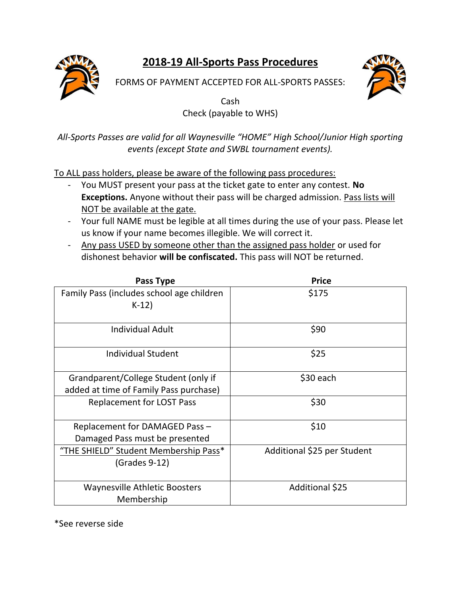**2018-19 All-Sports Pass Procedures**



FORMS OF PAYMENT ACCEPTED FOR ALL-SPORTS PASSES:



Cash Check (payable to WHS)

*All-Sports Passes are valid for all Waynesville "HOME" High School/Junior High sporting events (except State and SWBL tournament events).*

To ALL pass holders, please be aware of the following pass procedures:

- You MUST present your pass at the ticket gate to enter any contest. **No Exceptions.** Anyone without their pass will be charged admission. Pass lists will NOT be available at the gate.
- Your full NAME must be legible at all times during the use of your pass. Please let us know if your name becomes illegible. We will correct it.
- Any pass USED by someone other than the assigned pass holder or used for dishonest behavior **will be confiscated.** This pass will NOT be returned.

| Pass Type                                            | <b>Price</b>                |
|------------------------------------------------------|-----------------------------|
| Family Pass (includes school age children<br>$K-12)$ | \$175                       |
|                                                      |                             |
| Individual Adult                                     | \$90                        |
| Individual Student                                   | \$25                        |
| Grandparent/College Student (only if                 | \$30 each                   |
| added at time of Family Pass purchase)               |                             |
| <b>Replacement for LOST Pass</b>                     | \$30                        |
| Replacement for DAMAGED Pass -                       | \$10                        |
| Damaged Pass must be presented                       |                             |
| "THE SHIELD" Student Membership Pass*                | Additional \$25 per Student |
| (Grades 9-12)                                        |                             |
| <b>Waynesville Athletic Boosters</b>                 | Additional \$25             |
| Membership                                           |                             |

\*See reverse side